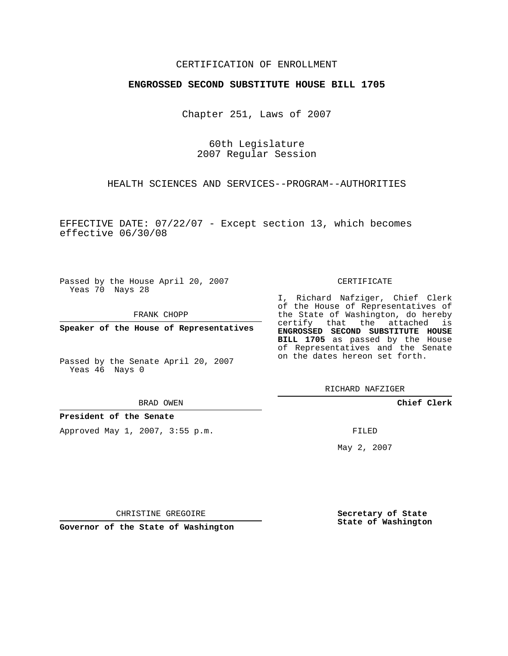## CERTIFICATION OF ENROLLMENT

## **ENGROSSED SECOND SUBSTITUTE HOUSE BILL 1705**

Chapter 251, Laws of 2007

60th Legislature 2007 Regular Session

HEALTH SCIENCES AND SERVICES--PROGRAM--AUTHORITIES

EFFECTIVE DATE: 07/22/07 - Except section 13, which becomes effective 06/30/08

Passed by the House April 20, 2007 Yeas 70 Nays 28

FRANK CHOPP

**Speaker of the House of Representatives**

Passed by the Senate April 20, 2007 Yeas 46 Nays 0

BRAD OWEN

**President of the Senate**

Approved May 1, 2007, 3:55 p.m.

## CERTIFICATE

I, Richard Nafziger, Chief Clerk of the House of Representatives of the State of Washington, do hereby certify that the attached is **ENGROSSED SECOND SUBSTITUTE HOUSE BILL 1705** as passed by the House of Representatives and the Senate on the dates hereon set forth.

RICHARD NAFZIGER

**Chief Clerk**

FILED

May 2, 2007

**Secretary of State State of Washington**

CHRISTINE GREGOIRE

**Governor of the State of Washington**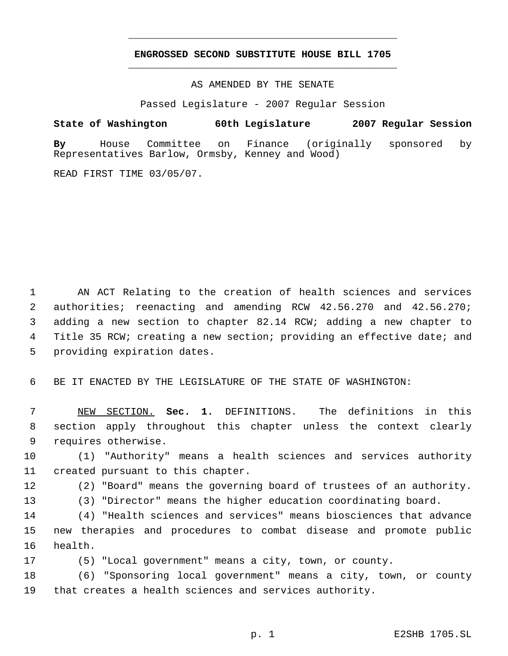## **ENGROSSED SECOND SUBSTITUTE HOUSE BILL 1705** \_\_\_\_\_\_\_\_\_\_\_\_\_\_\_\_\_\_\_\_\_\_\_\_\_\_\_\_\_\_\_\_\_\_\_\_\_\_\_\_\_\_\_\_\_

\_\_\_\_\_\_\_\_\_\_\_\_\_\_\_\_\_\_\_\_\_\_\_\_\_\_\_\_\_\_\_\_\_\_\_\_\_\_\_\_\_\_\_\_\_

AS AMENDED BY THE SENATE

Passed Legislature - 2007 Regular Session

**State of Washington 60th Legislature 2007 Regular Session By** House Committee on Finance (originally sponsored by Representatives Barlow, Ormsby, Kenney and Wood)

READ FIRST TIME 03/05/07.

 AN ACT Relating to the creation of health sciences and services authorities; reenacting and amending RCW 42.56.270 and 42.56.270; adding a new section to chapter 82.14 RCW; adding a new chapter to 4 Title 35 RCW; creating a new section; providing an effective date; and providing expiration dates.

BE IT ENACTED BY THE LEGISLATURE OF THE STATE OF WASHINGTON:

 NEW SECTION. **Sec. 1.** DEFINITIONS. The definitions in this section apply throughout this chapter unless the context clearly requires otherwise.

 (1) "Authority" means a health sciences and services authority created pursuant to this chapter.

(2) "Board" means the governing board of trustees of an authority.

(3) "Director" means the higher education coordinating board.

 (4) "Health sciences and services" means biosciences that advance new therapies and procedures to combat disease and promote public health.

(5) "Local government" means a city, town, or county.

 (6) "Sponsoring local government" means a city, town, or county that creates a health sciences and services authority.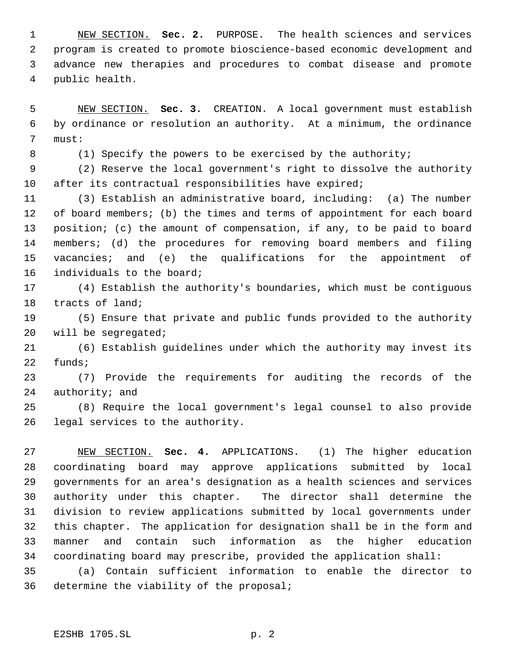NEW SECTION. **Sec. 2.** PURPOSE. The health sciences and services program is created to promote bioscience-based economic development and advance new therapies and procedures to combat disease and promote public health.

 NEW SECTION. **Sec. 3.** CREATION. A local government must establish by ordinance or resolution an authority. At a minimum, the ordinance must:

8 (1) Specify the powers to be exercised by the authority;

 (2) Reserve the local government's right to dissolve the authority after its contractual responsibilities have expired;

 (3) Establish an administrative board, including: (a) The number 12 of board members; (b) the times and terms of appointment for each board position; (c) the amount of compensation, if any, to be paid to board members; (d) the procedures for removing board members and filing vacancies; and (e) the qualifications for the appointment of individuals to the board;

 (4) Establish the authority's boundaries, which must be contiguous tracts of land;

 (5) Ensure that private and public funds provided to the authority will be segregated;

 (6) Establish guidelines under which the authority may invest its funds;

 (7) Provide the requirements for auditing the records of the authority; and

 (8) Require the local government's legal counsel to also provide legal services to the authority.

 NEW SECTION. **Sec. 4.** APPLICATIONS. (1) The higher education coordinating board may approve applications submitted by local governments for an area's designation as a health sciences and services authority under this chapter. The director shall determine the division to review applications submitted by local governments under this chapter. The application for designation shall be in the form and manner and contain such information as the higher education coordinating board may prescribe, provided the application shall:

 (a) Contain sufficient information to enable the director to determine the viability of the proposal;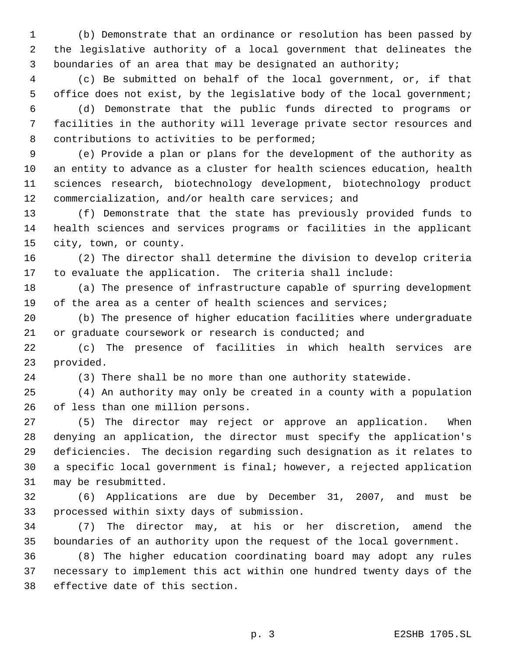(b) Demonstrate that an ordinance or resolution has been passed by the legislative authority of a local government that delineates the boundaries of an area that may be designated an authority;

 (c) Be submitted on behalf of the local government, or, if that office does not exist, by the legislative body of the local government;

 (d) Demonstrate that the public funds directed to programs or facilities in the authority will leverage private sector resources and 8 contributions to activities to be performed;

 (e) Provide a plan or plans for the development of the authority as an entity to advance as a cluster for health sciences education, health sciences research, biotechnology development, biotechnology product commercialization, and/or health care services; and

 (f) Demonstrate that the state has previously provided funds to health sciences and services programs or facilities in the applicant city, town, or county.

 (2) The director shall determine the division to develop criteria to evaluate the application. The criteria shall include:

 (a) The presence of infrastructure capable of spurring development of the area as a center of health sciences and services;

 (b) The presence of higher education facilities where undergraduate or graduate coursework or research is conducted; and

 (c) The presence of facilities in which health services are provided.

(3) There shall be no more than one authority statewide.

 (4) An authority may only be created in a county with a population of less than one million persons.

 (5) The director may reject or approve an application. When denying an application, the director must specify the application's deficiencies. The decision regarding such designation as it relates to a specific local government is final; however, a rejected application may be resubmitted.

 (6) Applications are due by December 31, 2007, and must be processed within sixty days of submission.

 (7) The director may, at his or her discretion, amend the boundaries of an authority upon the request of the local government.

 (8) The higher education coordinating board may adopt any rules necessary to implement this act within one hundred twenty days of the effective date of this section.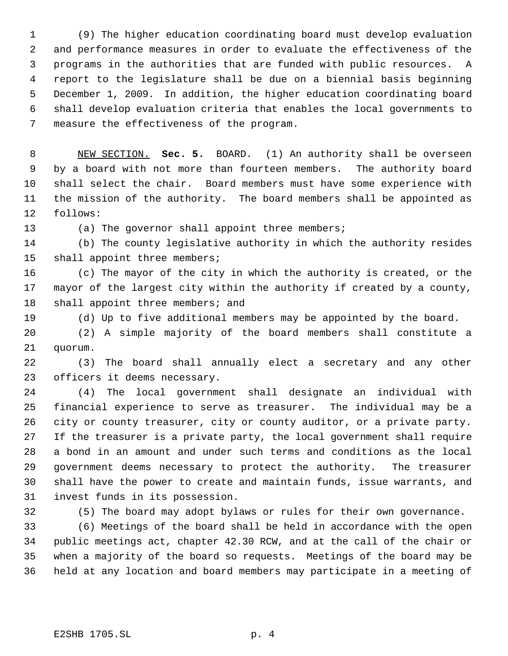(9) The higher education coordinating board must develop evaluation and performance measures in order to evaluate the effectiveness of the programs in the authorities that are funded with public resources. A report to the legislature shall be due on a biennial basis beginning December 1, 2009. In addition, the higher education coordinating board shall develop evaluation criteria that enables the local governments to measure the effectiveness of the program.

 NEW SECTION. **Sec. 5.** BOARD. (1) An authority shall be overseen by a board with not more than fourteen members. The authority board shall select the chair. Board members must have some experience with the mission of the authority. The board members shall be appointed as follows:

(a) The governor shall appoint three members;

 (b) The county legislative authority in which the authority resides shall appoint three members;

 (c) The mayor of the city in which the authority is created, or the mayor of the largest city within the authority if created by a county, 18 shall appoint three members; and

(d) Up to five additional members may be appointed by the board.

 (2) A simple majority of the board members shall constitute a quorum.

 (3) The board shall annually elect a secretary and any other officers it deems necessary.

 (4) The local government shall designate an individual with financial experience to serve as treasurer. The individual may be a city or county treasurer, city or county auditor, or a private party. If the treasurer is a private party, the local government shall require a bond in an amount and under such terms and conditions as the local government deems necessary to protect the authority. The treasurer shall have the power to create and maintain funds, issue warrants, and invest funds in its possession.

(5) The board may adopt bylaws or rules for their own governance.

 (6) Meetings of the board shall be held in accordance with the open public meetings act, chapter 42.30 RCW, and at the call of the chair or when a majority of the board so requests. Meetings of the board may be held at any location and board members may participate in a meeting of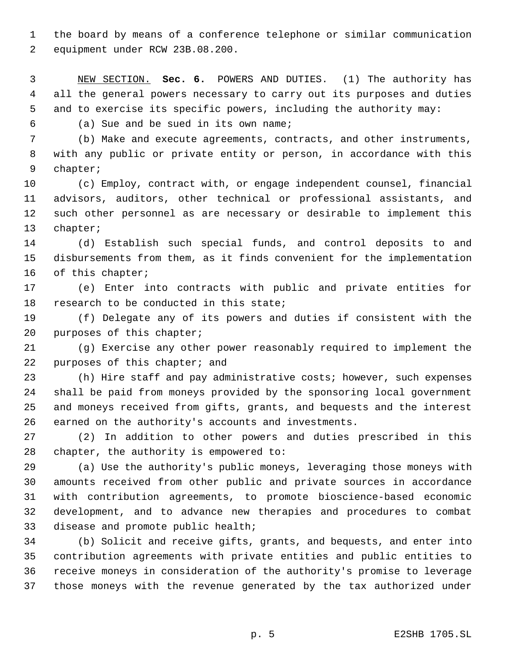the board by means of a conference telephone or similar communication equipment under RCW 23B.08.200.

 NEW SECTION. **Sec. 6.** POWERS AND DUTIES. (1) The authority has all the general powers necessary to carry out its purposes and duties and to exercise its specific powers, including the authority may:

(a) Sue and be sued in its own name;

 (b) Make and execute agreements, contracts, and other instruments, with any public or private entity or person, in accordance with this chapter;

 (c) Employ, contract with, or engage independent counsel, financial advisors, auditors, other technical or professional assistants, and such other personnel as are necessary or desirable to implement this chapter;

 (d) Establish such special funds, and control deposits to and disbursements from them, as it finds convenient for the implementation 16 of this chapter;

 (e) Enter into contracts with public and private entities for 18 research to be conducted in this state;

 (f) Delegate any of its powers and duties if consistent with the purposes of this chapter;

 (g) Exercise any other power reasonably required to implement the 22 purposes of this chapter; and

 (h) Hire staff and pay administrative costs; however, such expenses shall be paid from moneys provided by the sponsoring local government and moneys received from gifts, grants, and bequests and the interest earned on the authority's accounts and investments.

 (2) In addition to other powers and duties prescribed in this chapter, the authority is empowered to:

 (a) Use the authority's public moneys, leveraging those moneys with amounts received from other public and private sources in accordance with contribution agreements, to promote bioscience-based economic development, and to advance new therapies and procedures to combat disease and promote public health;

 (b) Solicit and receive gifts, grants, and bequests, and enter into contribution agreements with private entities and public entities to receive moneys in consideration of the authority's promise to leverage those moneys with the revenue generated by the tax authorized under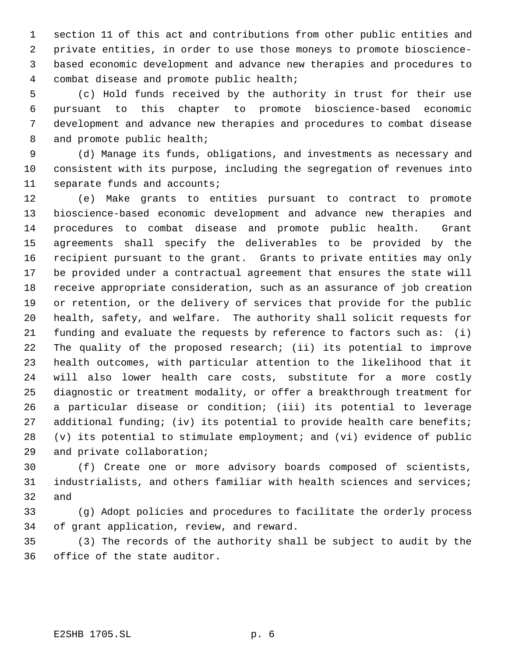section 11 of this act and contributions from other public entities and private entities, in order to use those moneys to promote bioscience- based economic development and advance new therapies and procedures to combat disease and promote public health;

 (c) Hold funds received by the authority in trust for their use pursuant to this chapter to promote bioscience-based economic development and advance new therapies and procedures to combat disease 8 and promote public health;

 (d) Manage its funds, obligations, and investments as necessary and consistent with its purpose, including the segregation of revenues into separate funds and accounts;

 (e) Make grants to entities pursuant to contract to promote bioscience-based economic development and advance new therapies and procedures to combat disease and promote public health. Grant agreements shall specify the deliverables to be provided by the recipient pursuant to the grant. Grants to private entities may only be provided under a contractual agreement that ensures the state will receive appropriate consideration, such as an assurance of job creation or retention, or the delivery of services that provide for the public health, safety, and welfare. The authority shall solicit requests for funding and evaluate the requests by reference to factors such as: (i) The quality of the proposed research; (ii) its potential to improve health outcomes, with particular attention to the likelihood that it will also lower health care costs, substitute for a more costly diagnostic or treatment modality, or offer a breakthrough treatment for a particular disease or condition; (iii) its potential to leverage additional funding; (iv) its potential to provide health care benefits; (v) its potential to stimulate employment; and (vi) evidence of public and private collaboration;

 (f) Create one or more advisory boards composed of scientists, industrialists, and others familiar with health sciences and services; and

 (g) Adopt policies and procedures to facilitate the orderly process of grant application, review, and reward.

 (3) The records of the authority shall be subject to audit by the office of the state auditor.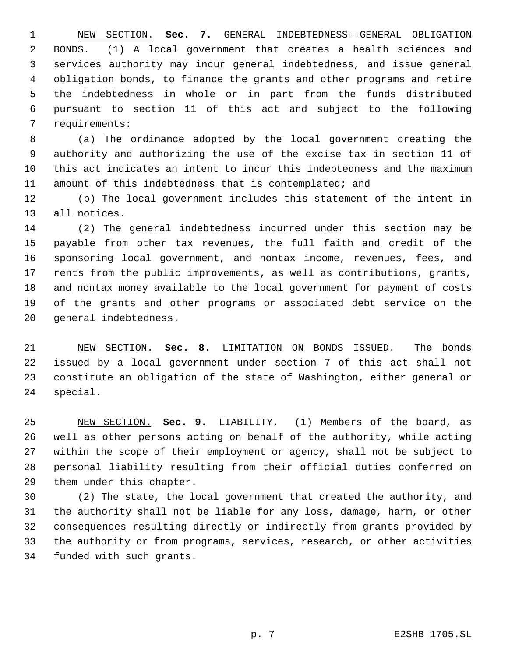NEW SECTION. **Sec. 7.** GENERAL INDEBTEDNESS--GENERAL OBLIGATION BONDS. (1) A local government that creates a health sciences and services authority may incur general indebtedness, and issue general obligation bonds, to finance the grants and other programs and retire the indebtedness in whole or in part from the funds distributed pursuant to section 11 of this act and subject to the following requirements:

 (a) The ordinance adopted by the local government creating the authority and authorizing the use of the excise tax in section 11 of this act indicates an intent to incur this indebtedness and the maximum amount of this indebtedness that is contemplated; and

 (b) The local government includes this statement of the intent in all notices.

 (2) The general indebtedness incurred under this section may be payable from other tax revenues, the full faith and credit of the sponsoring local government, and nontax income, revenues, fees, and rents from the public improvements, as well as contributions, grants, and nontax money available to the local government for payment of costs of the grants and other programs or associated debt service on the general indebtedness.

 NEW SECTION. **Sec. 8.** LIMITATION ON BONDS ISSUED. The bonds issued by a local government under section 7 of this act shall not constitute an obligation of the state of Washington, either general or special.

 NEW SECTION. **Sec. 9.** LIABILITY. (1) Members of the board, as well as other persons acting on behalf of the authority, while acting within the scope of their employment or agency, shall not be subject to personal liability resulting from their official duties conferred on them under this chapter.

 (2) The state, the local government that created the authority, and the authority shall not be liable for any loss, damage, harm, or other consequences resulting directly or indirectly from grants provided by the authority or from programs, services, research, or other activities funded with such grants.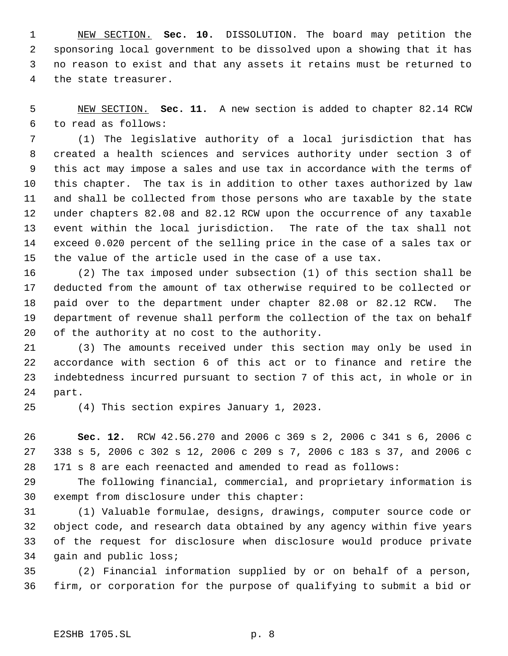NEW SECTION. **Sec. 10.** DISSOLUTION. The board may petition the sponsoring local government to be dissolved upon a showing that it has no reason to exist and that any assets it retains must be returned to the state treasurer.

 NEW SECTION. **Sec. 11.** A new section is added to chapter 82.14 RCW to read as follows:

 (1) The legislative authority of a local jurisdiction that has created a health sciences and services authority under section 3 of this act may impose a sales and use tax in accordance with the terms of this chapter. The tax is in addition to other taxes authorized by law and shall be collected from those persons who are taxable by the state under chapters 82.08 and 82.12 RCW upon the occurrence of any taxable event within the local jurisdiction. The rate of the tax shall not exceed 0.020 percent of the selling price in the case of a sales tax or the value of the article used in the case of a use tax.

 (2) The tax imposed under subsection (1) of this section shall be deducted from the amount of tax otherwise required to be collected or paid over to the department under chapter 82.08 or 82.12 RCW. The department of revenue shall perform the collection of the tax on behalf of the authority at no cost to the authority.

 (3) The amounts received under this section may only be used in accordance with section 6 of this act or to finance and retire the indebtedness incurred pursuant to section 7 of this act, in whole or in part.

(4) This section expires January 1, 2023.

 **Sec. 12.** RCW 42.56.270 and 2006 c 369 s 2, 2006 c 341 s 6, 2006 c 338 s 5, 2006 c 302 s 12, 2006 c 209 s 7, 2006 c 183 s 37, and 2006 c 171 s 8 are each reenacted and amended to read as follows:

 The following financial, commercial, and proprietary information is exempt from disclosure under this chapter:

 (1) Valuable formulae, designs, drawings, computer source code or object code, and research data obtained by any agency within five years of the request for disclosure when disclosure would produce private gain and public loss;

 (2) Financial information supplied by or on behalf of a person, firm, or corporation for the purpose of qualifying to submit a bid or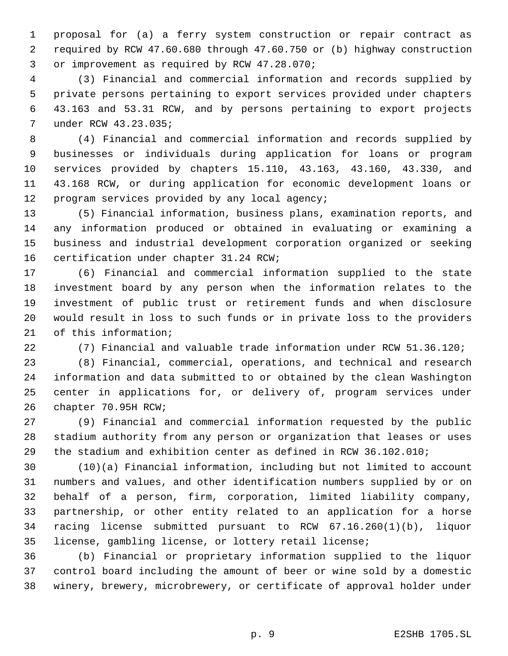proposal for (a) a ferry system construction or repair contract as required by RCW 47.60.680 through 47.60.750 or (b) highway construction or improvement as required by RCW 47.28.070;

 (3) Financial and commercial information and records supplied by private persons pertaining to export services provided under chapters 43.163 and 53.31 RCW, and by persons pertaining to export projects under RCW 43.23.035;

 (4) Financial and commercial information and records supplied by businesses or individuals during application for loans or program services provided by chapters 15.110, 43.163, 43.160, 43.330, and 43.168 RCW, or during application for economic development loans or 12 program services provided by any local agency;

 (5) Financial information, business plans, examination reports, and any information produced or obtained in evaluating or examining a business and industrial development corporation organized or seeking certification under chapter 31.24 RCW;

 (6) Financial and commercial information supplied to the state investment board by any person when the information relates to the investment of public trust or retirement funds and when disclosure would result in loss to such funds or in private loss to the providers of this information;

(7) Financial and valuable trade information under RCW 51.36.120;

 (8) Financial, commercial, operations, and technical and research information and data submitted to or obtained by the clean Washington center in applications for, or delivery of, program services under chapter 70.95H RCW;

 (9) Financial and commercial information requested by the public stadium authority from any person or organization that leases or uses the stadium and exhibition center as defined in RCW 36.102.010;

 (10)(a) Financial information, including but not limited to account numbers and values, and other identification numbers supplied by or on behalf of a person, firm, corporation, limited liability company, partnership, or other entity related to an application for a horse racing license submitted pursuant to RCW 67.16.260(1)(b), liquor license, gambling license, or lottery retail license;

 (b) Financial or proprietary information supplied to the liquor control board including the amount of beer or wine sold by a domestic winery, brewery, microbrewery, or certificate of approval holder under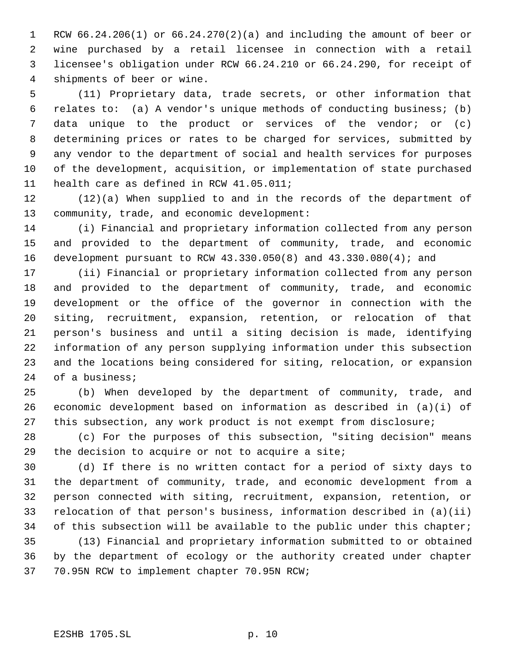RCW 66.24.206(1) or 66.24.270(2)(a) and including the amount of beer or wine purchased by a retail licensee in connection with a retail licensee's obligation under RCW 66.24.210 or 66.24.290, for receipt of shipments of beer or wine.

 (11) Proprietary data, trade secrets, or other information that relates to: (a) A vendor's unique methods of conducting business; (b) data unique to the product or services of the vendor; or (c) determining prices or rates to be charged for services, submitted by any vendor to the department of social and health services for purposes of the development, acquisition, or implementation of state purchased health care as defined in RCW 41.05.011;

 (12)(a) When supplied to and in the records of the department of community, trade, and economic development:

 (i) Financial and proprietary information collected from any person and provided to the department of community, trade, and economic development pursuant to RCW 43.330.050(8) and 43.330.080(4); and

 (ii) Financial or proprietary information collected from any person and provided to the department of community, trade, and economic development or the office of the governor in connection with the siting, recruitment, expansion, retention, or relocation of that person's business and until a siting decision is made, identifying information of any person supplying information under this subsection and the locations being considered for siting, relocation, or expansion of a business;

 (b) When developed by the department of community, trade, and economic development based on information as described in (a)(i) of this subsection, any work product is not exempt from disclosure;

 (c) For the purposes of this subsection, "siting decision" means the decision to acquire or not to acquire a site;

 (d) If there is no written contact for a period of sixty days to the department of community, trade, and economic development from a person connected with siting, recruitment, expansion, retention, or relocation of that person's business, information described in (a)(ii) 34 of this subsection will be available to the public under this chapter;

 (13) Financial and proprietary information submitted to or obtained by the department of ecology or the authority created under chapter 70.95N RCW to implement chapter 70.95N RCW;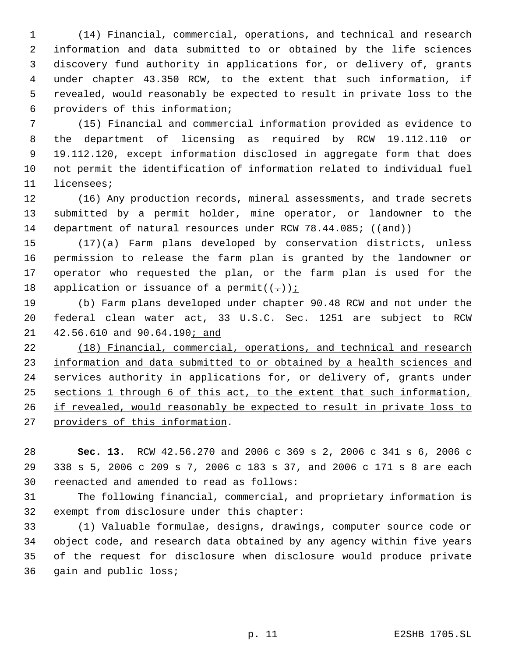(14) Financial, commercial, operations, and technical and research information and data submitted to or obtained by the life sciences discovery fund authority in applications for, or delivery of, grants under chapter 43.350 RCW, to the extent that such information, if revealed, would reasonably be expected to result in private loss to the providers of this information;

 (15) Financial and commercial information provided as evidence to the department of licensing as required by RCW 19.112.110 or 19.112.120, except information disclosed in aggregate form that does not permit the identification of information related to individual fuel licensees;

 (16) Any production records, mineral assessments, and trade secrets submitted by a permit holder, mine operator, or landowner to the 14 department of natural resources under RCW 78.44.085; ((and))

 (17)(a) Farm plans developed by conservation districts, unless permission to release the farm plan is granted by the landowner or operator who requested the plan, or the farm plan is used for the 18 application or issuance of a permit( $(-)$ );

 (b) Farm plans developed under chapter 90.48 RCW and not under the federal clean water act, 33 U.S.C. Sec. 1251 are subject to RCW 21 42.56.610 and 90.64.190; and

 (18) Financial, commercial, operations, and technical and research 23 information and data submitted to or obtained by a health sciences and 24 services authority in applications for, or delivery of, grants under sections 1 through 6 of this act, to the extent that such information, 26 if revealed, would reasonably be expected to result in private loss to providers of this information.

 **Sec. 13.** RCW 42.56.270 and 2006 c 369 s 2, 2006 c 341 s 6, 2006 c 338 s 5, 2006 c 209 s 7, 2006 c 183 s 37, and 2006 c 171 s 8 are each reenacted and amended to read as follows:

 The following financial, commercial, and proprietary information is exempt from disclosure under this chapter:

 (1) Valuable formulae, designs, drawings, computer source code or object code, and research data obtained by any agency within five years of the request for disclosure when disclosure would produce private gain and public loss;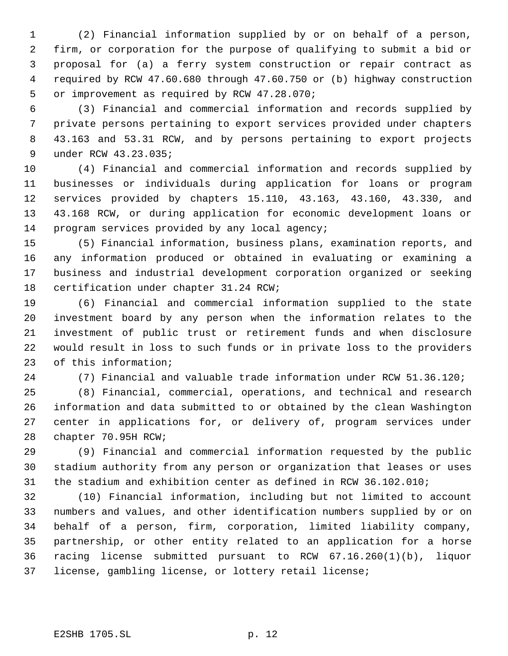(2) Financial information supplied by or on behalf of a person, firm, or corporation for the purpose of qualifying to submit a bid or proposal for (a) a ferry system construction or repair contract as required by RCW 47.60.680 through 47.60.750 or (b) highway construction or improvement as required by RCW 47.28.070;

 (3) Financial and commercial information and records supplied by private persons pertaining to export services provided under chapters 43.163 and 53.31 RCW, and by persons pertaining to export projects under RCW 43.23.035;

 (4) Financial and commercial information and records supplied by businesses or individuals during application for loans or program services provided by chapters 15.110, 43.163, 43.160, 43.330, and 43.168 RCW, or during application for economic development loans or program services provided by any local agency;

 (5) Financial information, business plans, examination reports, and any information produced or obtained in evaluating or examining a business and industrial development corporation organized or seeking certification under chapter 31.24 RCW;

 (6) Financial and commercial information supplied to the state investment board by any person when the information relates to the investment of public trust or retirement funds and when disclosure would result in loss to such funds or in private loss to the providers of this information;

(7) Financial and valuable trade information under RCW 51.36.120;

 (8) Financial, commercial, operations, and technical and research information and data submitted to or obtained by the clean Washington center in applications for, or delivery of, program services under chapter 70.95H RCW;

 (9) Financial and commercial information requested by the public stadium authority from any person or organization that leases or uses the stadium and exhibition center as defined in RCW 36.102.010;

 (10) Financial information, including but not limited to account numbers and values, and other identification numbers supplied by or on behalf of a person, firm, corporation, limited liability company, partnership, or other entity related to an application for a horse racing license submitted pursuant to RCW 67.16.260(1)(b), liquor license, gambling license, or lottery retail license;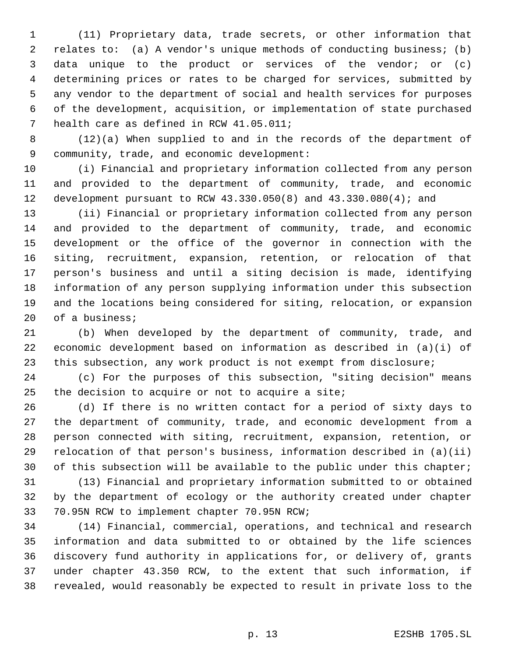(11) Proprietary data, trade secrets, or other information that relates to: (a) A vendor's unique methods of conducting business; (b) data unique to the product or services of the vendor; or (c) determining prices or rates to be charged for services, submitted by any vendor to the department of social and health services for purposes of the development, acquisition, or implementation of state purchased health care as defined in RCW 41.05.011;

 (12)(a) When supplied to and in the records of the department of community, trade, and economic development:

 (i) Financial and proprietary information collected from any person and provided to the department of community, trade, and economic development pursuant to RCW 43.330.050(8) and 43.330.080(4); and

 (ii) Financial or proprietary information collected from any person and provided to the department of community, trade, and economic development or the office of the governor in connection with the siting, recruitment, expansion, retention, or relocation of that person's business and until a siting decision is made, identifying information of any person supplying information under this subsection and the locations being considered for siting, relocation, or expansion of a business;

 (b) When developed by the department of community, trade, and economic development based on information as described in (a)(i) of this subsection, any work product is not exempt from disclosure;

 (c) For the purposes of this subsection, "siting decision" means the decision to acquire or not to acquire a site;

 (d) If there is no written contact for a period of sixty days to the department of community, trade, and economic development from a person connected with siting, recruitment, expansion, retention, or relocation of that person's business, information described in (a)(ii) 30 of this subsection will be available to the public under this chapter;

 (13) Financial and proprietary information submitted to or obtained by the department of ecology or the authority created under chapter 70.95N RCW to implement chapter 70.95N RCW;

 (14) Financial, commercial, operations, and technical and research information and data submitted to or obtained by the life sciences discovery fund authority in applications for, or delivery of, grants under chapter 43.350 RCW, to the extent that such information, if revealed, would reasonably be expected to result in private loss to the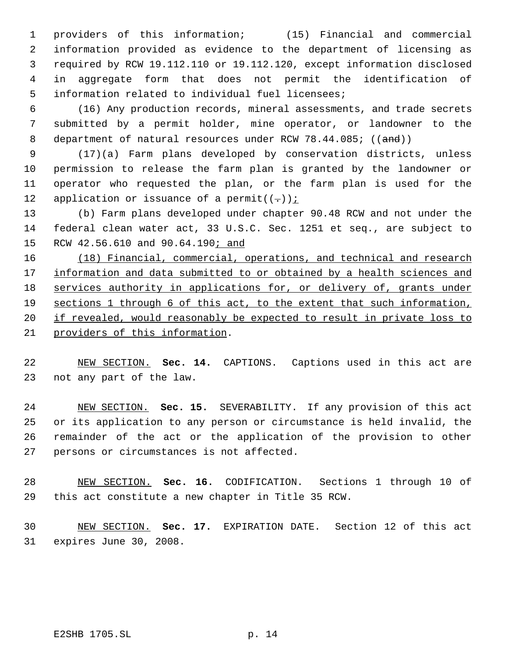providers of this information; (15) Financial and commercial information provided as evidence to the department of licensing as required by RCW 19.112.110 or 19.112.120, except information disclosed in aggregate form that does not permit the identification of information related to individual fuel licensees;

 (16) Any production records, mineral assessments, and trade secrets submitted by a permit holder, mine operator, or landowner to the 8 department of natural resources under RCW 78.44.085; ((and))

 (17)(a) Farm plans developed by conservation districts, unless permission to release the farm plan is granted by the landowner or operator who requested the plan, or the farm plan is used for the 12 application or issuance of a permit( $(-)$ ):

 (b) Farm plans developed under chapter 90.48 RCW and not under the federal clean water act, 33 U.S.C. Sec. 1251 et seq., are subject to 15 RCW 42.56.610 and 90.64.190*;* and

16 (18) Financial, commercial, operations, and technical and research 17 information and data submitted to or obtained by a health sciences and 18 services authority in applications for, or delivery of, grants under 19 sections 1 through 6 of this act, to the extent that such information, 20 if revealed, would reasonably be expected to result in private loss to providers of this information.

 NEW SECTION. **Sec. 14.** CAPTIONS. Captions used in this act are not any part of the law.

 NEW SECTION. **Sec. 15.** SEVERABILITY. If any provision of this act or its application to any person or circumstance is held invalid, the remainder of the act or the application of the provision to other persons or circumstances is not affected.

 NEW SECTION. **Sec. 16.** CODIFICATION. Sections 1 through 10 of this act constitute a new chapter in Title 35 RCW.

 NEW SECTION. **Sec. 17.** EXPIRATION DATE. Section 12 of this act expires June 30, 2008.

E2SHB 1705.SL p. 14